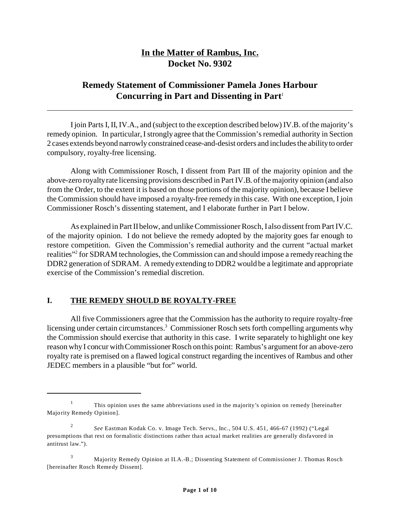# **In the Matter of Rambus, Inc. Docket No. 9302**

# **Remedy Statement of Commissioner Pamela Jones Harbour Concurring in Part and Dissenting in Part**<sup>1</sup>

I join Parts I, II, IV.A., and (subject to the exception described below) IV.B. of the majority's remedy opinion. In particular, I strongly agree that the Commission's remedial authority in Section 2 cases extends beyond narrowly constrained cease-and-desist orders and includes the ability to order compulsory, royalty-free licensing.

Along with Commissioner Rosch, I dissent from Part III of the majority opinion and the above-zero royalty rate licensing provisions described in Part IV.B. of the majority opinion (and also from the Order, to the extent it is based on those portions of the majority opinion), because I believe the Commission should have imposed a royalty-free remedy in this case. With one exception, I join Commissioner Rosch's dissenting statement, and I elaborate further in Part I below.

As explained in Part II below, and unlike Commissioner Rosch, I also dissent from Part IV.C. of the majority opinion. I do not believe the remedy adopted by the majority goes far enough to restore competition. Given the Commission's remedial authority and the current "actual market realities"<sup>2</sup> for SDRAM technologies, the Commission can and should impose a remedy reaching the DDR2 generation of SDRAM. A remedy extending to DDR2 would be a legitimate and appropriate exercise of the Commission's remedial discretion.

#### **I. THE REMEDY SHOULD BE ROYALTY-FREE**

All five Commissioners agree that the Commission has the authority to require royalty-free licensing under certain circumstances.<sup>3</sup> Commissioner Rosch sets forth compelling arguments why the Commission should exercise that authority in this case. I write separately to highlight one key reason why I concur with Commissioner Rosch on this point: Rambus's argument for an above-zero royalty rate is premised on a flawed logical construct regarding the incentives of Rambus and other JEDEC members in a plausible "but for" world.

<sup>1</sup> This opinion uses the same abbreviations used in the majority's opinion on remedy [hereinafter Majority Remedy Opinion].

<sup>2</sup> *See* Eastman Kodak Co. v. Image Tech. Servs., Inc., 504 U.S. 451, 466-67 (1992) ("Legal presumptions that rest on formalistic distinctions rather than actual market realities are generally disfavored in antitrust law.").

<sup>3</sup> Majority Remedy Opinion at II.A.-B.; Dissenting Statement of Commissioner J. Thomas Rosch [hereinafter Rosch Remedy Dissent].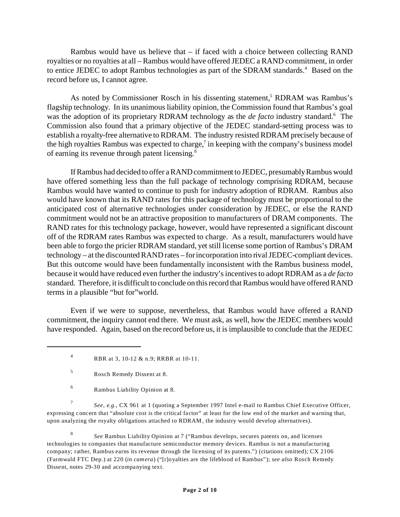Rambus would have us believe that – if faced with a choice between collecting RAND royalties or no royalties at all – Rambus would have offered JEDEC a RAND commitment, in order to entice JEDEC to adopt Rambus technologies as part of the SDRAM standards.<sup>4</sup> Based on the record before us, I cannot agree.

As noted by Commissioner Rosch in his dissenting statement,<sup>5</sup> RDRAM was Rambus's flagship technology. In its unanimous liability opinion, the Commission found that Rambus's goal was the adoption of its proprietary RDRAM technology as the *de facto* industry standard.<sup>6</sup> The Commission also found that a primary objective of the JEDEC standard-setting process was to establish a royalty-free alternative to RDRAM. The industry resisted RDRAM precisely because of the high royalties Rambus was expected to charge,<sup>7</sup> in keeping with the company's business model of earning its revenue through patent licensing.<sup>8</sup>

If Rambus had decided to offer a RAND commitment to JEDEC, presumably Rambus would have offered something less than the full package of technology comprising RDRAM, because Rambus would have wanted to continue to push for industry adoption of RDRAM. Rambus also would have known that its RAND rates for this package of technology must be proportional to the anticipated cost of alternative technologies under consideration by JEDEC, or else the RAND commitment would not be an attractive proposition to manufacturers of DRAM components. The RAND rates for this technology package, however, would have represented a significant discount off of the RDRAM rates Rambus was expected to charge. As a result, manufacturers would have been able to forgo the pricier RDRAM standard, yet still license some portion of Rambus's DRAM technology – at the discounted RAND rates – for incorporation into rival JEDEC-compliant devices. But this outcome would have been fundamentally inconsistent with the Rambus business model, because it would have reduced even further the industry's incentives to adopt RDRAM as a *de facto* standard. Therefore, it is difficult to conclude on this record that Rambus would have offered RAND terms in a plausible "but for"world.

Even if we were to suppose, nevertheless, that Rambus would have offered a RAND commitment, the inquiry cannot end there. We must ask, as well, how the JEDEC members would have responded. Again, based on the record before us, it is implausible to conclude that the JEDEC

7 *See, e.g.*, CX 961 at 1 (quoting a September 1997 Intel e-mail to Rambus Chief Executive Officer, expressing concern that "absolute cost is the critical factor" at least for the low end of the market and warning that, upon analyzing the royalty obligations attached to RDRAM, the industry would develop alternatives).

8 *See* Rambus Liability Opinion at 7 ("Rambus develops, secures patents on, and licenses technologies to companies that manufacture semiconductor memory devices. Rambus is not a manufacturing company; rather, Rambus earns its revenue through the licensing of its patents.") (citations omitted); CX 2106 (Farmwald FTC Dep.) at 220 (*in camera*) ("[r]oyalties are the lifeblood of Rambus"); *see also* Rosch Remedy Dissent, notes 29-30 and accompanying text.

<sup>4</sup> RBR at 3, 10-12 & n.9; RRBR at 10-11.

<sup>5</sup> Rosch Remedy Dissent at 8.

<sup>6</sup> Rambus Liability Opinion at 8.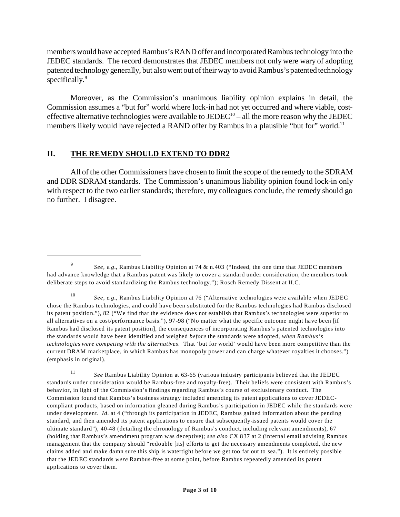members would have accepted Rambus's RAND offer and incorporated Rambus technology into the JEDEC standards. The record demonstrates that JEDEC members not only were wary of adopting patented technology generally, but also went out of their way to avoid Rambus's patented technology specifically.<sup>9</sup>

Moreover, as the Commission's unanimous liability opinion explains in detail, the Commission assumes a "but for" world where lock-in had not yet occurred and where viable, costeffective alternative technologies were available to  $JEDEC^{10}$  – all the more reason why the JEDEC members likely would have rejected a RAND offer by Rambus in a plausible "but for" world.<sup>11</sup>

#### **II. THE REMEDY SHOULD EXTEND TO DDR2**

All of the other Commissioners have chosen to limit the scope of the remedy to the SDRAM and DDR SDRAM standards. The Commission's unanimous liability opinion found lock-in only with respect to the two earlier standards; therefore, my colleagues conclude, the remedy should go no further. I disagree.

<sup>10</sup> *See, e.g.*, Rambus Liability Opinion at 76 ("Alternative technologies were available when JEDEC chose the Rambus technologies, and could have been substituted for the Rambus technologies had Rambus disclosed its patent position."), 82 ("We find that the evidence does not establish that Rambus's technologies were superior to all alternatives on a cost/performance basis."), 97-98 ("No matter what the specific outcome might have been [if Rambus had disclosed its patent position], the consequences of incorporating Rambus's patented technologies into the standards would have been identified and weighed *before* the standards were adopted, *when Rambus's technologies were competing with the alternatives*. That 'but for world' would have been more competitive than the current DRAM marketplace, in which Rambus has monopoly power and can charge whatever royalties it chooses.") (emphasis in original).

<sup>11</sup> *See* Rambus Liability Opinion at 63-65 (various industry participants believed that the JEDEC standards under consideration would be Rambus-free and royalty-free). Their beliefs were consistent with Rambus's behavior, in light of the Commission's findings regarding Rambus's course of exclusionary conduct. The Commission found that Rambus's business strategy included amending its patent applications to cover JEDECcompliant products, based on information gleaned during Rambus's participation in JEDEC while the standards were under development. *Id.* at 4 ("through its participation in JEDEC, Rambus gained information about the pending standard, and then amended its patent applications to ensure that subsequently-issued patents would cover the ultimate standard"), 40-48 (detailing the chronology of Rambus's conduct, including relevant amendments), 67 (holding that Rambus's amendment program was deceptive); *see also* CX 837 at 2 (internal email advising Rambus management that the company should "redouble [its] efforts to get the necessary amendments completed, the new claims added and make damn sure this ship is watertight before we get too far out to sea."). It is entirely possible that the JEDEC standards *were* Rambus-free at some point, before Rambus repeatedly amended its patent applications to cover them.

<sup>9</sup> *See, e.g.*, Rambus Liability Opinion at 74 & n.403 ("Indeed, the one time that JEDEC members had advance knowledge that a Rambus patent was likely to cover a standard under consideration, the members took deliberate steps to avoid standardizing the Rambus technology."); Rosch Remedy Dissent at II.C.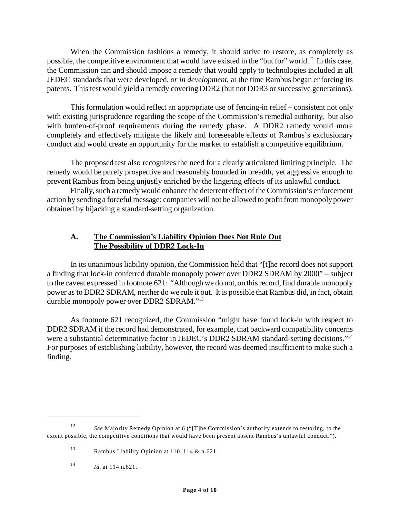When the Commission fashions a remedy, it should strive to restore, as completely as possible, the competitive environment that would have existed in the "but for" world.<sup>12</sup> In this case, the Commission can and should impose a remedy that would apply to technologies included in all JEDEC standards that were developed, *or in development*, at the time Rambus began enforcing its patents. This test would yield a remedy covering DDR2 (but not DDR3 or successive generations).

This formulation would reflect an appropriate use of fencing-in relief – consistent not only with existing jurisprudence regarding the scope of the Commission's remedial authority, but also with burden-of-proof requirements during the remedy phase. A DDR2 remedy would more completely and effectively mitigate the likely and foreseeable effects of Rambus's exclusionary conduct and would create an opportunity for the market to establish a competitive equilibrium.

The proposed test also recognizes the need for a clearly articulated limiting principle. The remedy would be purely prospective and reasonably bounded in breadth, yet aggressive enough to prevent Rambus from being unjustly enriched by the lingering effects of its unlawful conduct.

Finally, such a remedy would enhance the deterrent effect of the Commission's enforcement action by sending a forceful message: companies will not be allowed to profit from monopoly power obtained by hijacking a standard-setting organization.

### **A. The Commission's Liability Opinion Does Not Rule Out The Possibility of DDR2 Lock-In**

In its unanimous liability opinion, the Commission held that "[t]he record does not support a finding that lock-in conferred durable monopoly power over DDR2 SDRAM by 2000" – subject to the caveat expressed in footnote 621: "Although we do not, on this record, find durable monopoly power as to DDR2 SDRAM, neither do we rule it out. It is possible that Rambus did, in fact, obtain durable monopoly power over DDR2 SDRAM."<sup>13</sup>

As footnote 621 recognized, the Commission "might have found lock-in with respect to DDR2 SDRAM if the record had demonstrated, for example, that backward compatibility concerns were a substantial determinative factor in JEDEC's DDR2 SDRAM standard-setting decisions."<sup>14</sup> For purposes of establishing liability, however, the record was deemed insufficient to make such a finding.

<sup>12</sup> *See* Majority Remedy Opinion at 6 ("[T]he Commission's authority extends to restoring, to the extent possible, the competitive conditions that would have been present absent Rambus's unlawful conduct.").

<sup>13</sup> Rambus Liability Opinion at 110, 114 & n.621.

<sup>14</sup> *Id.* at 114 n.621.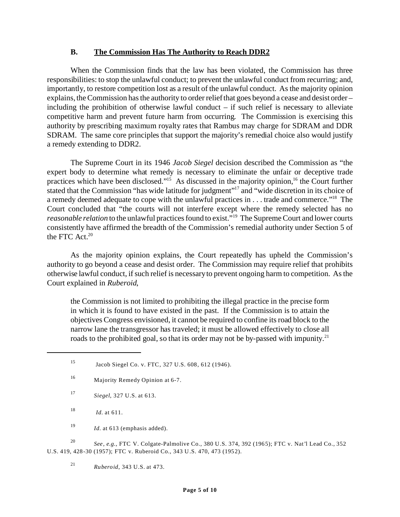#### **B. The Commission Has The Authority to Reach DDR2**

When the Commission finds that the law has been violated, the Commission has three responsibilities: to stop the unlawful conduct; to prevent the unlawful conduct from recurring; and, importantly, to restore competition lost as a result of the unlawful conduct. As the majority opinion explains, the Commission has the authority to order relief that goes beyond a cease and desist order – including the prohibition of otherwise lawful conduct – if such relief is necessary to alleviate competitive harm and prevent future harm from occurring. The Commission is exercising this authority by prescribing maximum royalty rates that Rambus may charge for SDRAM and DDR SDRAM. The same core principles that support the majority's remedial choice also would justify a remedy extending to DDR2.

The Supreme Court in its 1946 *Jacob Siegel* decision described the Commission as "the expert body to determine what remedy is necessary to eliminate the unfair or deceptive trade practices which have been disclosed."<sup>15</sup> As discussed in the majority opinion,<sup>16</sup> the Court further stated that the Commission "has wide latitude for judgment"<sup>17</sup> and "wide discretion in its choice of a remedy deemed adequate to cope with the unlawful practices in . . . trade and commerce."<sup>18</sup> The Court concluded that "the courts will not interfere except where the remedy selected has no *reasonable relation* to the unlawful practices found to exist."<sup>19</sup> The Supreme Court and lower courts consistently have affirmed the breadth of the Commission's remedial authority under Section 5 of the FTC Act. $20$ 

As the majority opinion explains, the Court repeatedly has upheld the Commission's authority to go beyond a cease and desist order. The Commission may require relief that prohibits otherwise lawful conduct, if such relief is necessary to prevent ongoing harm to competition. As the Court explained in *Ruberoid*,

the Commission is not limited to prohibiting the illegal practice in the precise form in which it is found to have existed in the past. If the Commission is to attain the objectives Congress envisioned, it cannot be required to confine its road block to the narrow lane the transgressor has traveled; it must be allowed effectively to close all roads to the prohibited goal, so that its order may not be by-passed with impunity.<sup>21</sup>

- <sup>17</sup> *Siegel*, 327 U.S. at 613.
- $18$  *Id.* at 611.

<sup>19</sup> *Id.* at 613 (emphasis added).

<sup>20</sup> *See, e.g.,* FTC V. Colgate-Palmolive Co., 380 U.S. 374, 392 (1965); FTC v. Nat'l Lead Co., 352 U.S. 419, 428-30 (1957); FTC v. Ruberoid Co., 343 U.S. 470, 473 (1952).

<sup>21</sup> *Ruberoid*, 343 U.S. at 473.

<sup>15</sup> Jacob Siegel Co. v. FTC, 327 U.S. 608, 612 (1946).

<sup>16</sup> Majority Remedy Opinion at 6-7.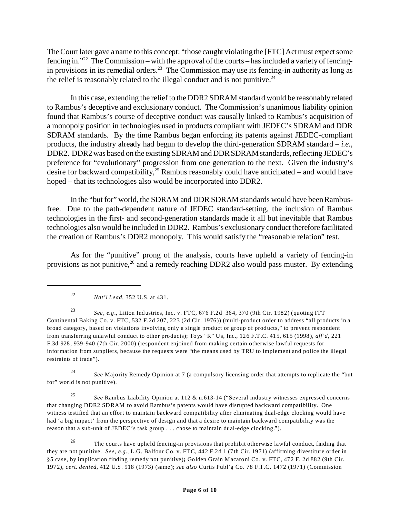The Court later gave a name to this concept: "those caught violating the [FTC] Act must expect some fencing in."22 The Commission – with the approval of the courts – has included a variety of fencingin provisions in its remedial orders.<sup>23</sup> The Commission may use its fencing-in authority as long as the relief is reasonably related to the illegal conduct and is not punitive. $24$ 

In this case, extending the relief to the DDR2 SDRAM standard would be reasonably related to Rambus's deceptive and exclusionary conduct. The Commission's unanimous liability opinion found that Rambus's course of deceptive conduct was causally linked to Rambus's acquisition of a monopoly position in technologies used in products compliant with JEDEC's SDRAM and DDR SDRAM standards. By the time Rambus began enforcing its patents against JEDEC-compliant products, the industry already had begun to develop the third-generation SDRAM standard – *i.e.*, DDR2. DDR2 was based on the existing SDRAM and DDR SDRAM standards, reflecting JEDEC's preference for "evolutionary" progression from one generation to the next. Given the industry's desire for backward compatibility,<sup>25</sup> Rambus reasonably could have anticipated – and would have hoped – that its technologies also would be incorporated into DDR2.

In the "but for" world, the SDRAM and DDR SDRAM standards would have been Rambusfree. Due to the path-dependent nature of JEDEC standard-setting, the inclusion of Rambus technologies in the first- and second-generation standards made it all but inevitable that Rambus technologies also would be included in DDR2. Rambus's exclusionary conduct therefore facilitated the creation of Rambus's DDR2 monopoly. This would satisfy the "reasonable relation" test.

As for the "punitive" prong of the analysis, courts have upheld a variety of fencing-in provisions as not punitive, $26$  and a remedy reaching DDR2 also would pass muster. By extending

<sup>24</sup> *See* Majority Remedy Opinion at 7 (a compulsory licensing order that attempts to replicate the "but for" world is not punitive).

<sup>25</sup> *See* Rambus Liability Opinion at 112 & n.613-14 ("Several industry witnesses expressed concerns that changing DDR2 SDRAM to avoid Rambus's patents would have disrupted backward compatibility. One witness testified that an effort to maintain backward compatibility after eliminating dual-edge clocking would have had 'a big impact' from the perspective of design and that a desire to maintain backward compatibility was the reason that a sub-unit of JEDEC's task group . . . chose to maintain dual-edge clocking.").

<sup>26</sup> The courts have upheld fencing-in provisions that prohibit otherwise lawful conduct, finding that they are not punitive. *See, e.g.*, L.G. Balfour Co. v. FTC, 442 F.2d 1 (7th Cir. 1971) (affirming divestiture order in §5 case, by implication finding remedy not punitive)**;** Golden Grain Macaroni Co. v. FTC, 472 F. 2d 882 (9th Cir. 1972), *cert. denied*, 412 U.S. 918 (1973) (same); *see also* Curtis Publ'g Co. 78 F.T.C. 1472 (1971) (Commission

<sup>22</sup> *Nat'l Lead*, 352 U.S. at 431.

<sup>23</sup> *See, e.g*., Litton Industries, Inc. v. FTC, 676 F.2d 364, 370 (9th Cir. 1982) (quoting ITT Continental Baking Co. v. FTC, 532 F.2d 207, 223 (2d Cir. 1976)) (multi-product order to address "all products in a broad category, based on violations involving only a single product or group of products," to prevent respondent from transferring unlawful conduct to other products); Toys "R" Us, Inc., 126 F.T.C. 415, 615 (1998), *aff'd*, 221 F.3d 928, 939-940 (7th Cir. 2000) (respondent enjoined from making certain otherwise lawful requests for information from suppliers, because the requests were "the means used by TRU to implement and police the illegal restraints of trade").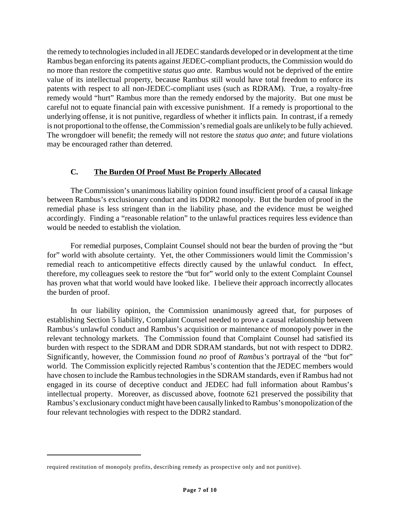the remedy to technologies included in all JEDEC standards developed or in development at the time Rambus began enforcing its patents against JEDEC-compliant products, the Commission would do no more than restore the competitive *status quo ante*. Rambus would not be deprived of the entire value of its intellectual property, because Rambus still would have total freedom to enforce its patents with respect to all non-JEDEC-compliant uses (such as RDRAM). True, a royalty-free remedy would "hurt" Rambus more than the remedy endorsed by the majority. But one must be careful not to equate financial pain with excessive punishment. If a remedy is proportional to the underlying offense, it is not punitive, regardless of whether it inflicts pain. In contrast, if a remedy is not proportional to the offense, the Commission's remedial goals are unlikely to be fully achieved. The wrongdoer will benefit; the remedy will not restore the *status quo ante*; and future violations may be encouraged rather than deterred.

### **C. The Burden Of Proof Must Be Properly Allocated**

The Commission's unanimous liability opinion found insufficient proof of a causal linkage between Rambus's exclusionary conduct and its DDR2 monopoly. But the burden of proof in the remedial phase is less stringent than in the liability phase, and the evidence must be weighed accordingly. Finding a "reasonable relation" to the unlawful practices requires less evidence than would be needed to establish the violation.

For remedial purposes, Complaint Counsel should not bear the burden of proving the "but for" world with absolute certainty. Yet, the other Commissioners would limit the Commission's remedial reach to anticompetitive effects directly caused by the unlawful conduct. In effect, therefore, my colleagues seek to restore the "but for" world only to the extent Complaint Counsel has proven what that world would have looked like. I believe their approach incorrectly allocates the burden of proof.

In our liability opinion, the Commission unanimously agreed that, for purposes of establishing Section 5 liability, Complaint Counsel needed to prove a causal relationship between Rambus's unlawful conduct and Rambus's acquisition or maintenance of monopoly power in the relevant technology markets. The Commission found that Complaint Counsel had satisfied its burden with respect to the SDRAM and DDR SDRAM standards, but not with respect to DDR2. Significantly, however, the Commission found *no* proof of *Rambus's* portrayal of the "but for" world. The Commission explicitly rejected Rambus's contention that the JEDEC members would have chosen to include the Rambus technologies in the SDRAM standards, even if Rambus had not engaged in its course of deceptive conduct and JEDEC had full information about Rambus's intellectual property. Moreover, as discussed above, footnote 621 preserved the possibility that Rambus's exclusionary conduct might have been causally linked to Rambus's monopolization of the four relevant technologies with respect to the DDR2 standard.

required restitution of monopoly profits, describing remedy as prospective only and not punitive).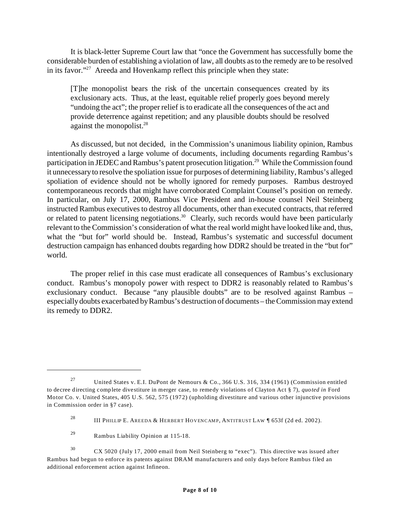It is black-letter Supreme Court law that "once the Government has successfully borne the considerable burden of establishing a violation of law, all doubts as to the remedy are to be resolved in its favor."<sup>27</sup> Areeda and Hovenkamp reflect this principle when they state:

[T]he monopolist bears the risk of the uncertain consequences created by its exclusionary acts. Thus, at the least, equitable relief properly goes beyond merely "undoing the act"; the proper relief is to eradicate all the consequences of the act and provide deterrence against repetition; and any plausible doubts should be resolved against the monopolist.<sup>28</sup>

As discussed, but not decided, in the Commission's unanimous liability opinion, Rambus intentionally destroyed a large volume of documents, including documents regarding Rambus's participation in JEDEC and Rambus's patent prosecution litigation.<sup>29</sup> While the Commission found it unnecessary to resolve the spoliation issue for purposes of determining liability, Rambus's alleged spoliation of evidence should not be wholly ignored for remedy purposes. Rambus destroyed contemporaneous records that might have corroborated Complaint Counsel's position on remedy. In particular, on July 17, 2000, Rambus Vice President and in-house counsel Neil Steinberg instructed Rambus executives to destroy all documents, other than executed contracts, that referred or related to patent licensing negotiations.<sup>30</sup> Clearly, such records would have been particularly relevant to the Commission's consideration of what the real world might have looked like and, thus, what the "but for" world should be. Instead, Rambus's systematic and successful document destruction campaign has enhanced doubts regarding how DDR2 should be treated in the "but for" world.

The proper relief in this case must eradicate all consequences of Rambus's exclusionary conduct. Rambus's monopoly power with respect to DDR2 is reasonably related to Rambus's exclusionary conduct. Because "any plausible doubts" are to be resolved against Rambus – especially doubts exacerbated by Rambus's destruction of documents – the Commission may extend its remedy to DDR2.

<sup>&</sup>lt;sup>27</sup> United States v. E.I. DuPont de Nemours & Co., 366 U.S. 316, 334 (1961) (Commission entitled to decree directing complete divestiture in merger case, to remedy violations of Clayton Act § 7), *quoted in* Ford Motor Co. v. United States, 405 U.S. 562, 575 (1972) (upholding divestiture and various other injunctive provisions in Commission order in §7 case).

<sup>&</sup>lt;sup>28</sup> III PHILLIP E. AREEDA & HERBERT HOVENCAMP, ANTITRUST LAW  $\parallel$  653f (2d ed. 2002).

<sup>29</sup> Rambus Liability Opinion at 115-18.

<sup>30</sup> CX 5020 (July 17, 2000 email from Neil Steinberg to "exec"). This directive was issued after Rambus had begun to enforce its patents against DRAM manufacturers and only days before Rambus filed an additional enforcement action against Infineon.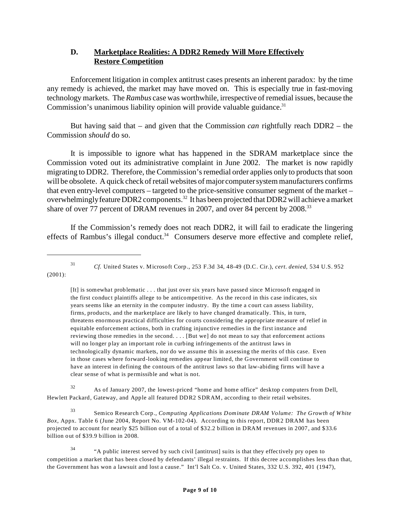### **D. Marketplace Realities: A DDR2 Remedy Will More Effectively Restore Competition**

Enforcement litigation in complex antitrust cases presents an inherent paradox: by the time any remedy is achieved, the market may have moved on. This is especially true in fast-moving technology markets. The *Rambus* case was worthwhile, irrespective of remedial issues, because the Commission's unanimous liability opinion will provide valuable guidance. $31$ 

But having said that – and given that the Commission *can* rightfully reach DDR2 – the Commission *should* do so.

It is impossible to ignore what has happened in the SDRAM marketplace since the Commission voted out its administrative complaint in June 2002. The market is now rapidly migrating to DDR2. Therefore, the Commission's remedial order applies only to products that soon will be obsolete. A quick check of retail websites of major computer system manufacturers confirms that even entry-level computers – targeted to the price-sensitive consumer segment of the market – overwhelmingly feature DDR2 components.<sup>32</sup> It has been projected that DDR2 will achieve a market share of over 77 percent of DRAM revenues in 2007, and over 84 percent by 2008.<sup>33</sup>

If the Commission's remedy does not reach DDR2, it will fail to eradicate the lingering effects of Rambus's illegal conduct.<sup>34</sup> Consumers deserve more effective and complete relief,

<sup>31</sup> *Cf.* United States v. Microsoft Corp., 253 F.3d 34, 48-49 (D.C. Cir.), *cert. denied*, 534 U.S. 952 (2001):

[It] is somewhat problematic . . . that just over six years have passed since Microsoft engaged in the first conduct plaintiffs allege to be anticompetitive. As the record in this case indicates, six years seems like an eternity in the computer industry. By the time a court can assess liability, firms, products, and the marketplace are likely to have changed dramatically. This, in turn, threatens enormous practical difficulties for courts considering the appropriate measure of relief in equitable enforcement actions, both in crafting injunctive remedies in the first instance and reviewing those remedies in the second. . . . [But we] do not mean to say that enforcement actions will no longer play an important role in curbing infringements of the antitrust laws in technologically dynamic markets, nor do we assume this in assessing the merits of this case. Even in those cases where forward-looking remedies appear limited, the Government will continue to have an interest in defining the contours of the antitrust laws so that law-abiding firms will have a clear sense of what is permissible and what is not.

 $32$  As of January 2007, the lowest-priced "home and home office" desktop computers from Dell, Hewlett Packard, Gateway, and Apple all featured DDR2 SDRAM, according to their retail websites.

<sup>33</sup> Semico Research Corp., *Computing Applications Dominate DRAM Volume: The Growth of White Box*, Appx. Table 6 (June 2004, Report No. VM-102-04). According to this report, DDR2 DRAM has been projected to account for nearly \$25 billion out of a total of \$32.2 billion in DRAM revenues in 2007, and \$33.6 billion out of \$39.9 billion in 2008.

<sup>34</sup> "A public interest served by such civil [antitrust] suits is that they effectively pry open to competition a market that has been closed by defendants' illegal restraints. If this decree accomplishes less than that, the Government has won a lawsuit and lost a cause." Int'l Salt Co. v. United States, 332 U.S. 392, 401 (1947),